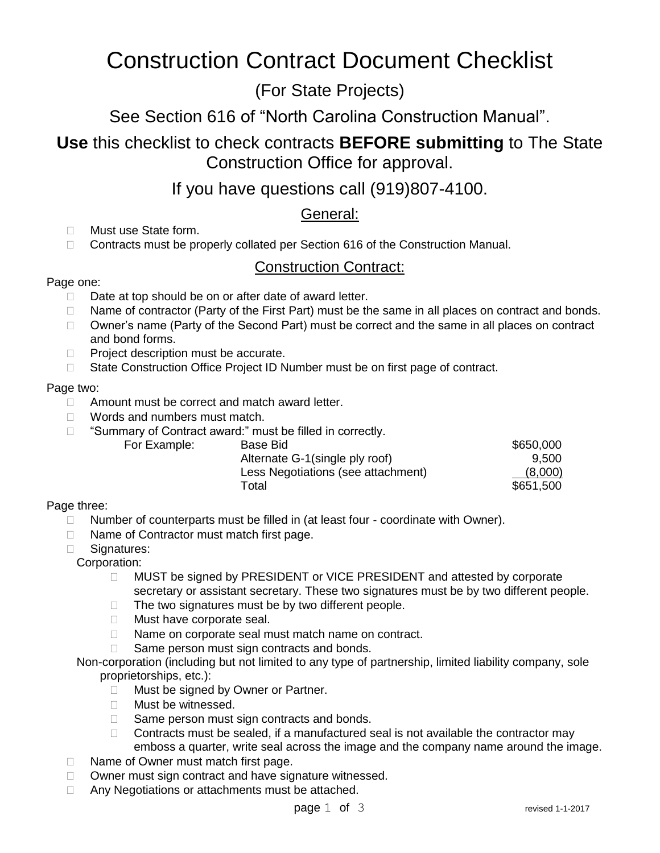# Construction Contract Document Checklist

## (For State Projects)

See Section 616 of "North Carolina Construction Manual".

**Use** this checklist to check contracts **BEFORE submitting** to The State Construction Office for approval.

If you have questions call (919)807-4100.

General:

- □ Must use State form.
- □ Contracts must be properly collated per Section 616 of the Construction Manual.

## Construction Contract:

## Page one:

- Date at top should be on or after date of award letter.
- $\Box$  Name of contractor (Party of the First Part) must be the same in all places on contract and bonds.
- □ Owner's name (Party of the Second Part) must be correct and the same in all places on contract and bond forms.
- $\Box$  Project description must be accurate.
- □ State Construction Office Project ID Number must be on first page of contract.

#### Page two:

- □ Amount must be correct and match award letter.
- □ Words and numbers must match.

For Example:

□ "Summary of Contract award:" must be filled in correctly.

| Base Bid                           | \$650,000 |
|------------------------------------|-----------|
| Alternate G-1(single ply roof)     | 9.500     |
| Less Negotiations (see attachment) | (8,000)   |
| Total                              | \$651,500 |

## Page three:

- □ Number of counterparts must be filled in (at least four coordinate with Owner).
- □ Name of Contractor must match first page.
- □ Signatures:
	- Corporation:
		- □ MUST be signed by PRESIDENT or VICE PRESIDENT and attested by corporate secretary or assistant secretary. These two signatures must be by two different people.
		- $\Box$  The two signatures must be by two different people.
		- **Must have corporate seal.**
		- □ Name on corporate seal must match name on contract.
		- $\Box$  Same person must sign contracts and bonds.
	- Non-corporation (including but not limited to any type of partnership, limited liability company, sole proprietorships, etc.):
		- □ Must be signed by Owner or Partner.
		- □ Must be witnessed.
		- $\Box$  Same person must sign contracts and bonds.
		- $\Box$  Contracts must be sealed, if a manufactured seal is not available the contractor may emboss a quarter, write seal across the image and the company name around the image.
- □ Name of Owner must match first page.
- □ Owner must sign contract and have signature witnessed.
- □ Any Negotiations or attachments must be attached.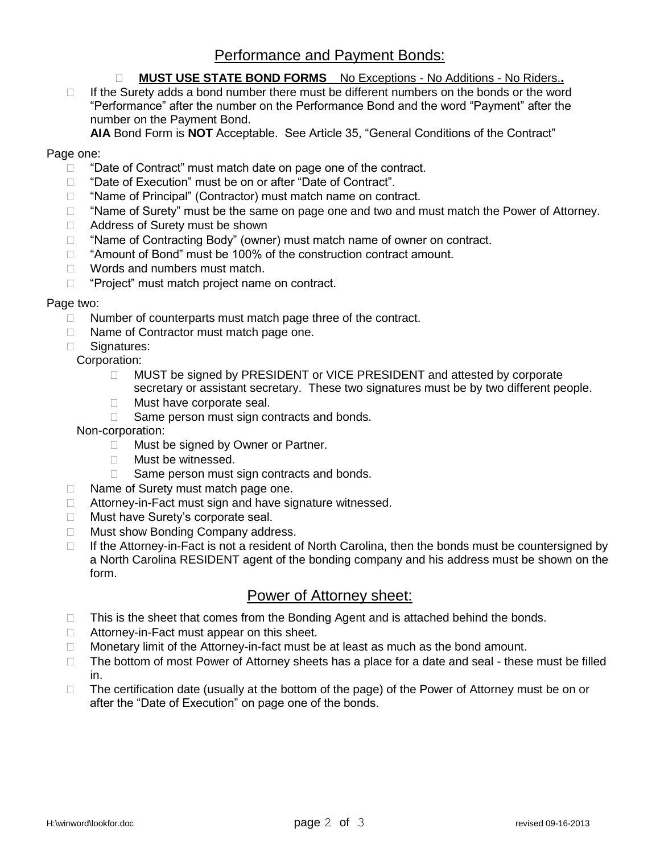## Performance and Payment Bonds:

#### **MUST USE STATE BOND FORMS** No Exceptions - No Additions - No Riders.**.**

 $\Box$  If the Surety adds a bond number there must be different numbers on the bonds or the word "Performance" after the number on the Performance Bond and the word "Payment" after the number on the Payment Bond.

**AIA** Bond Form is **NOT** Acceptable. See Article 35, "General Conditions of the Contract"

#### Page one:

- D "Date of Contract" must match date on page one of the contract.
- □ "Date of Execution" must be on or after "Date of Contract".
- □ "Name of Principal" (Contractor) must match name on contract.
- $\Box$  "Name of Surety" must be the same on page one and two and must match the Power of Attorney.
- □ Address of Surety must be shown
- $\Box$  "Name of Contracting Body" (owner) must match name of owner on contract.
- $\Box$  "Amount of Bond" must be 100% of the construction contract amount.
- □ Words and numbers must match.
- $\Box$  "Project" must match project name on contract.

#### Page two:

- $\Box$  Number of counterparts must match page three of the contract.
- □ Name of Contractor must match page one.
- □ Signatures:
	- Corporation:
		- □ MUST be signed by PRESIDENT or VICE PRESIDENT and attested by corporate secretary or assistant secretary. These two signatures must be by two different people.
		- **Must have corporate seal.**
		- $\Box$  Same person must sign contracts and bonds.
	- Non-corporation:
		- □ Must be signed by Owner or Partner.
		- □ Must be witnessed.
		- $\Box$  Same person must sign contracts and bonds.
- $\Box$  Name of Surety must match page one.
- □ Attorney-in-Fact must sign and have signature witnessed.
- □ Must have Surety's corporate seal.
- □ Must show Bonding Company address.
- $\Box$  If the Attorney-in-Fact is not a resident of North Carolina, then the bonds must be countersigned by a North Carolina RESIDENT agent of the bonding company and his address must be shown on the form.

## Power of Attorney sheet:

- $\Box$  This is the sheet that comes from the Bonding Agent and is attached behind the bonds.
- $\Box$  Attorney-in-Fact must appear on this sheet.
- $\Box$  Monetary limit of the Attorney-in-fact must be at least as much as the bond amount.
- $\Box$  The bottom of most Power of Attorney sheets has a place for a date and seal these must be filled in.
- $\Box$  The certification date (usually at the bottom of the page) of the Power of Attorney must be on or after the "Date of Execution" on page one of the bonds.